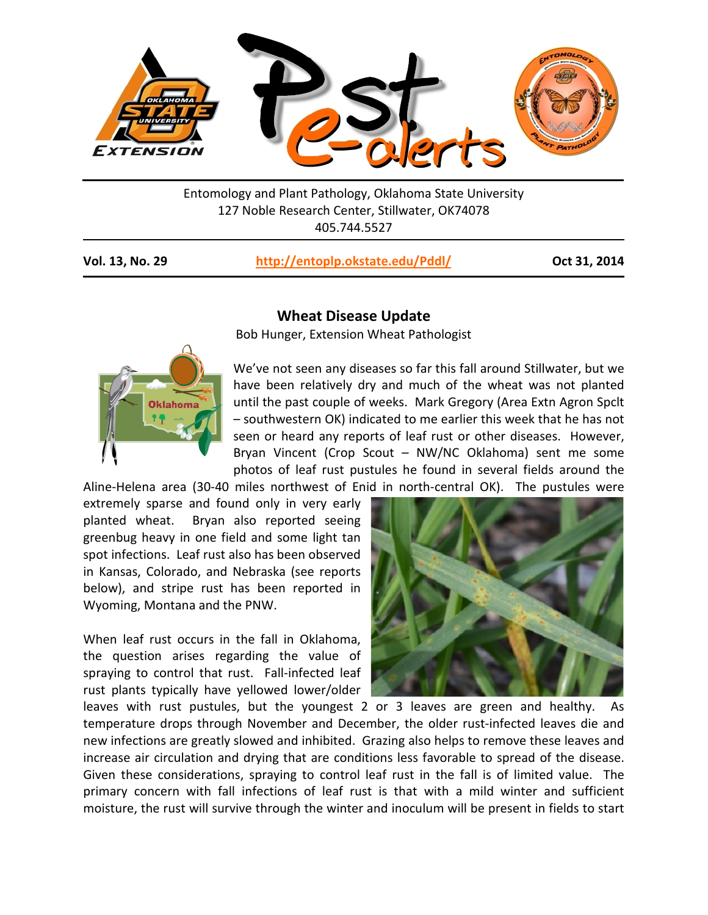

Entomology and Plant Pathology, Oklahoma State University 127 Noble Research Center, Stillwater, OK74078 405.744.5527

| Vol. 13, No. 29 | http://entoplp.okstate.edu/Pddl/ |
|-----------------|----------------------------------|
|-----------------|----------------------------------|

**Vol. 13, No. 29 <http://entoplp.okstate.edu/Pddl/> Oct 31, 2014**



## **Wheat Disease Update**

Bob Hunger, Extension Wheat Pathologist

We've not seen any diseases so far this fall around Stillwater, but we have been relatively dry and much of the wheat was not planted until the past couple of weeks. Mark Gregory (Area Extn Agron Spclt – southwestern OK) indicated to me earlier this week that he has not seen or heard any reports of leaf rust or other diseases. However, Bryan Vincent (Crop Scout – NW/NC Oklahoma) sent me some photos of leaf rust pustules he found in several fields around the

Aline-Helena area (30-40 miles northwest of Enid in north-central OK). The pustules were extremely sparse and found only in very early planted wheat. Bryan also reported seeing greenbug heavy in one field and some light tan spot infections. Leaf rust also has been observed in Kansas, Colorado, and Nebraska (see reports below), and stripe rust has been reported in Wyoming, Montana and the PNW.

When leaf rust occurs in the fall in Oklahoma, the question arises regarding the value of spraying to control that rust. Fall-infected leaf rust plants typically have yellowed lower/older



leaves with rust pustules, but the youngest 2 or 3 leaves are green and healthy. As temperature drops through November and December, the older rust-infected leaves die and new infections are greatly slowed and inhibited. Grazing also helps to remove these leaves and increase air circulation and drying that are conditions less favorable to spread of the disease. Given these considerations, spraying to control leaf rust in the fall is of limited value. The primary concern with fall infections of leaf rust is that with a mild winter and sufficient moisture, the rust will survive through the winter and inoculum will be present in fields to start